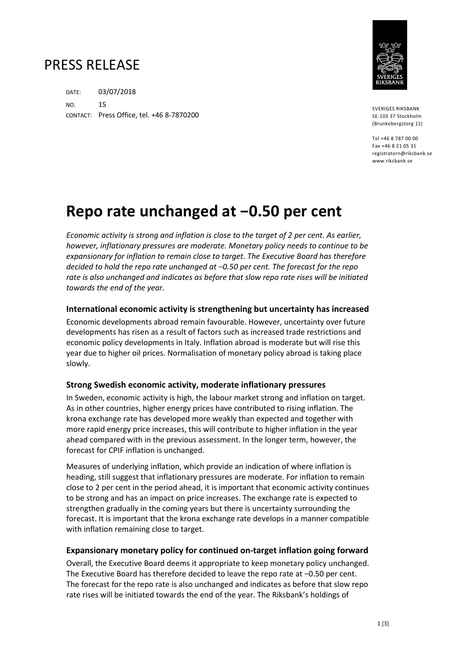## PRESS RELEASE

DATE: 03/07/2018 NO. 15 CONTACT: Press Office, tel. +46 8-7870200



SVERIGES RIKSBANK SE-103 37 Stockholm (Brunkebergstorg 11)

Tel +46 8 787 00 00 Fax +46 8 21 05 31 registratorn@riksbank.se www.riksbank.se

# **Repo rate unchanged at −0.50 per cent**

*Economic activity is strong and inflation is close to the target of 2 per cent. As earlier, however, inflationary pressures are moderate. Monetary policy needs to continue to be expansionary for inflation to remain close to target. The Executive Board has therefore decided to hold the repo rate unchanged at −0.50 per cent. The forecast for the repo rate is also unchanged and indicates as before that slow repo rate rises will be initiated towards the end of the year.* 

### **International economic activity is strengthening but uncertainty has increased**

Economic developments abroad remain favourable. However, uncertainty over future developments has risen as a result of factors such as increased trade restrictions and economic policy developments in Italy. Inflation abroad is moderate but will rise this year due to higher oil prices. Normalisation of monetary policy abroad is taking place slowly.

### **Strong Swedish economic activity, moderate inflationary pressures**

In Sweden, economic activity is high, the labour market strong and inflation on target. As in other countries, higher energy prices have contributed to rising inflation. The krona exchange rate has developed more weakly than expected and together with more rapid energy price increases, this will contribute to higher inflation in the year ahead compared with in the previous assessment. In the longer term, however, the forecast for CPIF inflation is unchanged.

Measures of underlying inflation, which provide an indication of where inflation is heading, still suggest that inflationary pressures are moderate. For inflation to remain close to 2 per cent in the period ahead, it is important that economic activity continues to be strong and has an impact on price increases. The exchange rate is expected to strengthen gradually in the coming years but there is uncertainty surrounding the forecast. It is important that the krona exchange rate develops in a manner compatible with inflation remaining close to target.

### **Expansionary monetary policy for continued on-target inflation going forward**

Overall, the Executive Board deems it appropriate to keep monetary policy unchanged. The Executive Board has therefore decided to leave the repo rate at −0.50 per cent. The forecast for the repo rate is also unchanged and indicates as before that slow repo rate rises will be initiated towards the end of the year. The Riksbank's holdings of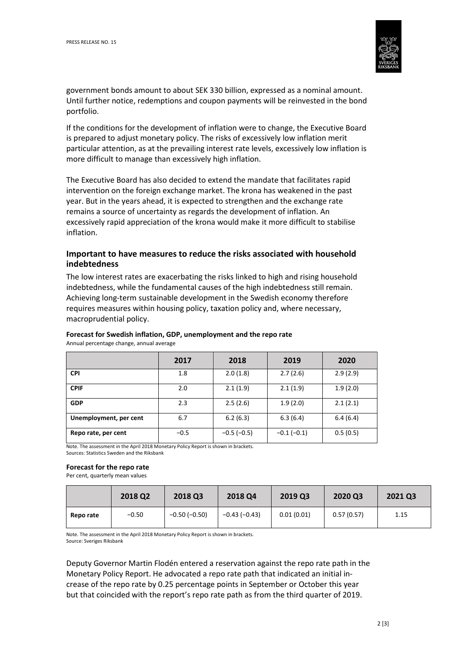

government bonds amount to about SEK 330 billion, expressed as a nominal amount. Until further notice, redemptions and coupon payments will be reinvested in the bond portfolio.

If the conditions for the development of inflation were to change, the Executive Board is prepared to adjust monetary policy. The risks of excessively low inflation merit particular attention, as at the prevailing interest rate levels, excessively low inflation is more difficult to manage than excessively high inflation.

The Executive Board has also decided to extend the mandate that facilitates rapid intervention on the foreign exchange market. The krona has weakened in the past year. But in the years ahead, it is expected to strengthen and the exchange rate remains a source of uncertainty as regards the development of inflation. An excessively rapid appreciation of the krona would make it more difficult to stabilise inflation.

#### **Important to have measures to reduce the risks associated with household indebtedness**

The low interest rates are exacerbating the risks linked to high and rising household indebtedness, while the fundamental causes of the high indebtedness still remain. Achieving long-term sustainable development in the Swedish economy therefore requires measures within housing policy, taxation policy and, where necessary, macroprudential policy.

### **Forecast for Swedish inflation, GDP, unemployment and the repo rate**

|                        | 2017   | 2018         | 2019         | 2020     |  |  |  |
|------------------------|--------|--------------|--------------|----------|--|--|--|
| <b>CPI</b>             | 1.8    | 2.0(1.8)     | 2.7(2.6)     | 2.9(2.9) |  |  |  |
| <b>CPIF</b>            | 2.0    | 2.1(1.9)     | 2.1(1.9)     | 1.9(2.0) |  |  |  |
| <b>GDP</b>             | 2.3    | 2.5(2.6)     | 1.9(2.0)     | 2.1(2.1) |  |  |  |
| Unemployment, per cent | 6.7    | 6.2(6.3)     | 6.3(6.4)     | 6.4(6.4) |  |  |  |
| Repo rate, per cent    | $-0.5$ | $-0.5(-0.5)$ | $-0.1(-0.1)$ | 0.5(0.5) |  |  |  |

Annual percentage change, annual average

Note. The assessment in the April 2018 Monetary Policy Report is shown in brackets. Sources: Statistics Sweden and the Riksbank

#### **Forecast for the repo rate**

Per cent, quarterly mean values

|           | 2018 Q2 | 2018 Q3             | 2018 Q4             | 2019 Q3    | 2020 Q3    | 2021 Q3 |
|-----------|---------|---------------------|---------------------|------------|------------|---------|
| Repo rate | $-0.50$ | $-0.50$ ( $-0.50$ ) | $-0.43$ ( $-0.43$ ) | 0.01(0.01) | 0.57(0.57) | 1.15    |

Note. The assessment in the April 2018 Monetary Policy Report is shown in brackets. Source: Sveriges Riksbank

Deputy Governor Martin Flodén entered a reservation against the repo rate path in the Monetary Policy Report. He advocated a repo rate path that indicated an initial increase of the repo rate by 0.25 percentage points in September or October this year but that coincided with the report's repo rate path as from the third quarter of 2019.